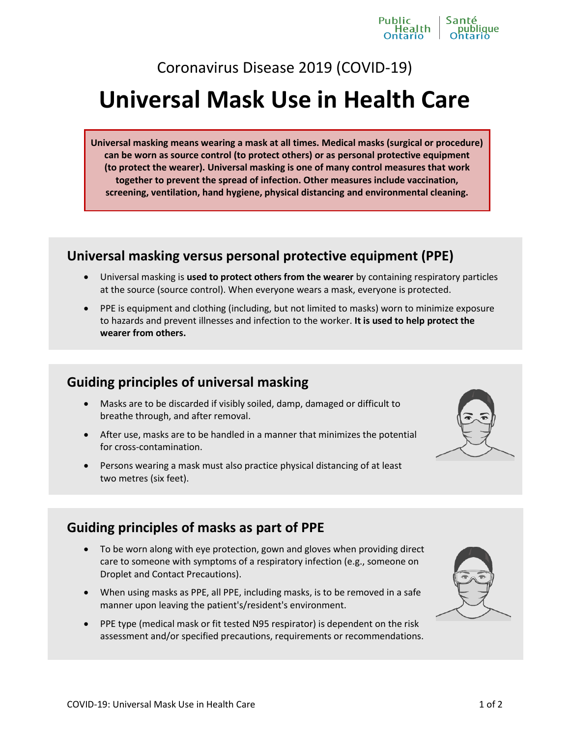# Coronavirus Disease 2019 (COVID-19)

# **Universal Mask Use in Health Care**

**Universal masking means wearing a mask at all times. Medical masks (surgical or procedure) can be worn as source control (to protect others) or as personal protective equipment (to protect the wearer). Universal masking is one of many control measures that work together to prevent the spread of infection. Other measures include vaccination, screening, ventilation, hand hygiene, physical distancing and environmental cleaning.** 

# **Universal masking versus personal protective equipment (PPE)**

- Universal masking is **used to protect others from the wearer** by containing respiratory particles at the source (source control). When everyone wears a mask, everyone is protected.
- PPE is equipment and clothing (including, but not limited to masks) worn to minimize exposure to hazards and prevent illnesses and infection to the worker. **It is used to help protect the wearer from others.**

## **Guiding principles of universal masking**

- Masks are to be discarded if visibly soiled, damp, damaged or difficult to breathe through, and after removal.
- After use, masks are to be handled in a manner that minimizes the potential for cross-contamination.
- Persons wearing a mask must also practice physical distancing of at least two metres (six feet).

# **Guiding principles of masks as part of PPE**

- To be worn along with eye protection, gown and gloves when providing direct care to someone with symptoms of a respiratory infection (e.g., someone on Droplet and Contact Precautions).
- When using masks as PPE, all PPE, including masks, is to be removed in a safe manner upon leaving the patient's/resident's environment.
- PPE type (medical mask or fit tested N95 respirator) is dependent on the risk assessment and/or specified precautions, requirements or recommendations.